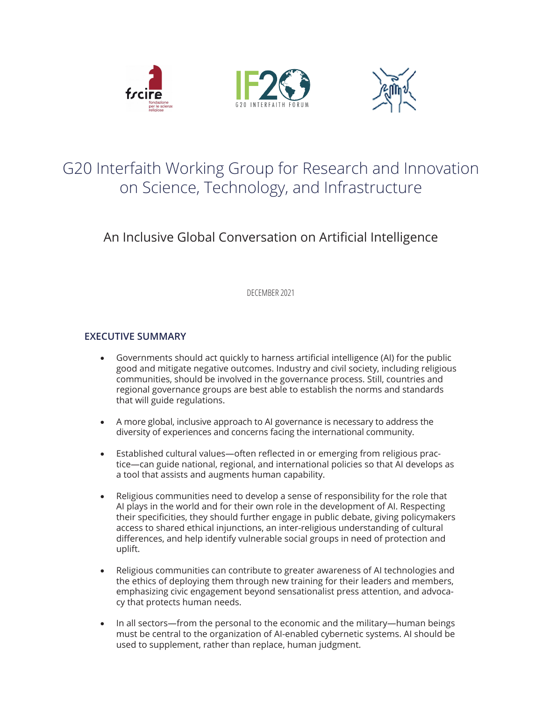





# G20 Interfaith Working Group for Research and Innovation on Science, Technology, and Infrastructure

## An Inclusive Global Conversation on Artificial Intelligence

DECEMBER 2021

### **EXECUTIVE SUMMARY**

- Governments should act quickly to harness artificial intelligence (AI) for the public good and mitigate negative outcomes. Industry and civil society, including religious communities, should be involved in the governance process. Still, countries and regional governance groups are best able to establish the norms and standards that will guide regulations.
- A more global, inclusive approach to AI governance is necessary to address the diversity of experiences and concerns facing the international community.
- Established cultural values—often reflected in or emerging from religious practice—can guide national, regional, and international policies so that AI develops as a tool that assists and augments human capability.
- Religious communities need to develop a sense of responsibility for the role that AI plays in the world and for their own role in the development of AI. Respecting their specificities, they should further engage in public debate, giving policymakers access to shared ethical injunctions, an inter-religious understanding of cultural differences, and help identify vulnerable social groups in need of protection and uplift.
- Religious communities can contribute to greater awareness of AI technologies and the ethics of deploying them through new training for their leaders and members, emphasizing civic engagement beyond sensationalist press attention, and advocacy that protects human needs.
- In all sectors—from the personal to the economic and the military—human beings must be central to the organization of AI-enabled cybernetic systems. AI should be used to supplement, rather than replace, human judgment.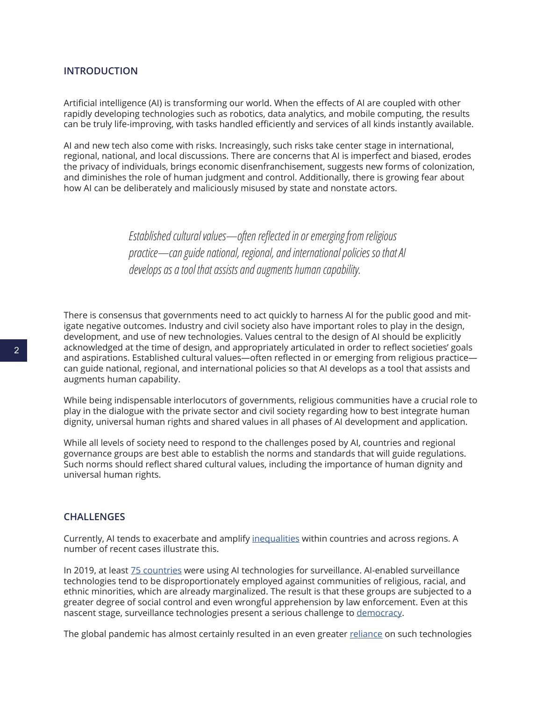#### **INTRODUCTION**

Artificial intelligence (AI) is transforming our world. When the effects of AI are coupled with other rapidly developing technologies such as robotics, data analytics, and mobile computing, the results can be truly life-improving, with tasks handled efficiently and services of all kinds instantly available.

AI and new tech also come with risks. Increasingly, such risks take center stage in international, regional, national, and local discussions. There are concerns that AI is imperfect and biased, erodes the privacy of individuals, brings economic disenfranchisement, suggests new forms of colonization, and diminishes the role of human judgment and control. Additionally, there is growing fear about how AI can be deliberately and maliciously misused by state and nonstate actors.

> *Established cultural values—often reflected in or emerging from religious practice—can guide national, regional, and international policies so that AI develops as a tool that assists and augments human capability.*

There is consensus that governments need to act quickly to harness AI for the public good and mitigate negative outcomes. Industry and civil society also have important roles to play in the design, development, and use of new technologies. Values central to the design of AI should be explicitly acknowledged at the time of design, and appropriately articulated in order to reflect societies' goals and aspirations. Established cultural values—often reflected in or emerging from religious practice can guide national, regional, and international policies so that AI develops as a tool that assists and augments human capability.

While being indispensable interlocutors of governments, religious communities have a crucial role to play in the dialogue with the private sector and civil society regarding how to best integrate human dignity, universal human rights and shared values in all phases of AI development and application.

While all levels of society need to respond to the challenges posed by AI, countries and regional governance groups are best able to establish the norms and standards that will guide regulations. Such norms should reflect shared cultural values, including the importance of human dignity and universal human rights.

#### **CHALLENGES**

Currently, AI tends to exacerbate and amplify [inequalities](https://techcrunch.com/2019/01/23/world-economic-forum-warns-of-ais-potential-to-worsen-global-inequality/) within countries and across regions. A number of recent cases illustrate this.

In 2019, at least [75 countries](https://carnegieendowment.org/2019/09/17/global-expansion-of-ai-surveillance-pub-79847) were using AI technologies for surveillance. AI-enabled surveillance technologies tend to be disproportionately employed against communities of religious, racial, and ethnic minorities, which are already marginalized. The result is that these groups are subjected to a greater degree of social control and even wrongful apprehension by law enforcement. Even at this nascent stage, surveillance technologies present a serious challenge to [democracy](https://www.nytimes.com/2021/01/29/opinion/sunday/facebook-surveillance-society-technology.html).

The global pandemic has almost certainly resulted in an even greater [reliance](https://www.hrw.org/news/2021/03/04/technology-enabling-surveillance-inequality-during-pandemic) on such technologies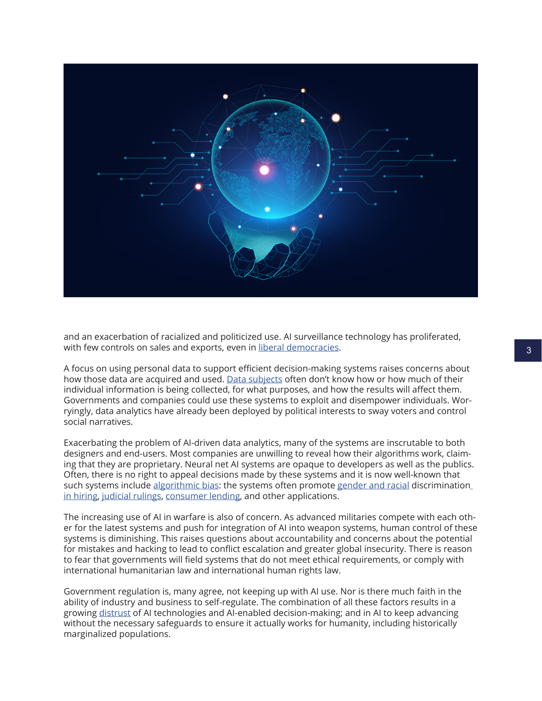

and an exacerbation of racialized and politicized use. AI surveillance technology has proliferated, with few controls on sales and exports, even in [liberal democracies.](https://carnegieendowment.org/2019/09/17/global-expansion-of-ai-surveillance-pub-79847)

A focus on using personal data to support efficient decision-making systems raises concerns about how those data are acquired and used. [Data subjects](https://www.nature.com/articles/d41586-020-02003-2) often don't know how or how much of their individual information is being collected, for what purposes, and how the results will affect them. Governments and companies could use these systems to exploit and disempower individuals. Worryingly, data analytics have already been deployed by political interests to sway voters and control social narratives.

Exacerbating the problem of AI-driven data analytics, many of the systems are inscrutable to both designers and end-users. Most companies are unwilling to reveal how their algorithms work, claiming that they are proprietary. Neural net AI systems are opaque to developers as well as the publics. Often, there is no right to appeal decisions made by these systems and it is now well-known that such systems include [algorithmic bias](https://www.vox.com/recode/2020/2/18/21121286/algorithms-bias-discrimination-facial-recognition-transparency): the systems often promote [gender and racial](https://news.mit.edu/2018/study-finds-gender-skin-type-bias-artificial-intelligence-systems-0212) discrimination in [hiring](https://www.theguardian.com/technology/2018/oct/10/amazon-hiring-ai-gender-bias-recruiting-engine), [judicial rulings](https://www.yalelawjournal.org/article/bias-in-bias-out), [consumer lending](https://faculty.haas.berkeley.edu/morse/research/papers/discrim.pdf), and other applications.

The increasing use of AI in warfare is also of concern. As advanced militaries compete with each other for the latest systems and push for integration of AI into weapon systems, human control of these systems is diminishing. This raises questions about accountability and concerns about the potential for mistakes and hacking to lead to conflict escalation and greater global insecurity. There is reason to fear that governments will field systems that do not meet ethical requirements, or comply with international humanitarian law and international human rights law.

Government regulation is, many agree, not keeping up with AI use. Nor is there much faith in the ability of industry and business to self-regulate. The combination of all these factors results in a growing [distrust](https://www.zdnet.com/article/big-bad-data-we-dont-trust-ai-to-make-good-decisions/) of AI technologies and AI-enabled decision-making; and in AI to keep advancing without the necessary safeguards to ensure it actually works for humanity, including historically marginalized populations.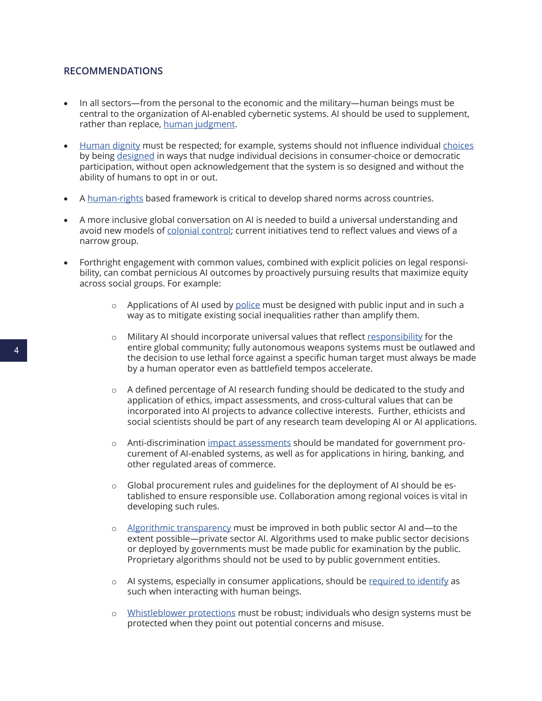#### **RECOMMENDATIONS**

- In all sectors—from the personal to the economic and the military—human beings must be central to the organization of AI-enabled cybernetic systems. AI should be used to supplement, rather than replace, [human judgment.](https://slate.com/technology/2021/06/human-oversight-artificial-intelligence-laws.html?via=rss_socialflow_twitter)
- [Human dignity](https://futureoflife.org/ai-policy-challenges-and-recommendations/) must be respected; for example, systems should not influence individual [choices](https://www.theverge.com/2021/3/16/22333506/california-bans-dark-patterns-opt-out-selling-data) by being [designed](https://www.oxfordhandbooks.com/view/10.1093/oxfordhb/9780190067397.001.0001/oxfordhb-9780190067397) in ways that nudge individual decisions in consumer-choice or democratic participation, without open acknowledgement that the system is so designed and without the ability of humans to opt in or out.
- A [human-rights](https://www.ohchr.org/EN/Issues/FreedomOpinion/Pages/ReportGA73.aspx) based framework is critical to develop shared norms across countries.
- A more inclusive global conversation on AI is needed to build a universal understanding and avoid new models of [colonial control](https://www.technologyreview.com/2020/07/31/1005824/decolonial-ai-for-everyone/); current initiatives tend to reflect values and views of a narrow group.
- Forthright engagement with common values, combined with explicit policies on legal responsibility, can combat pernicious AI outcomes by proactively pursuing results that maximize equity across social groups. For example:
	- $\circ$  Applications of AI used by [police](https://www.technologyreview.com/2020/07/17/1005396/predictive-policing-algorithms-racist-dismantled-machine-learning-bias-criminal-justice/) must be designed with public input and in such a way as to mitigate existing social inequalities rather than amplify them.
	- $\circ$  Military AI should incorporate universal values that reflect [responsibility](https://www.nature.com/articles/d41586-021-01244-z) for the entire global community; fully autonomous weapons systems must be outlawed and the decision to use lethal force against a specific human target must always be made by a human operator even as battlefield tempos accelerate.
	- $\circ$  A defined percentage of AI research funding should be dedicated to the study and application of ethics, impact assessments, and cross-cultural values that can be incorporated into AI projects to advance collective interests. Further, ethicists and social scientists should be part of any research team developing AI or AI applications.
	- o Anti-discrimination [impact assessments](https://www.congress.gov/bill/116th-congress/senate-bill/1108/text) should be mandated for government procurement of AI-enabled systems, as well as for applications in hiring, banking, and other regulated areas of commerce.
	- $\circ$  Global procurement rules and guidelines for the deployment of AI should be established to ensure responsible use. Collaboration among regional voices is vital in developing such rules.
	- o [Algorithmic transparency](https://hbr.org/2018/07/we-need-transparency-in-algorithms-but-too-much-can-backfire) must be improved in both public sector AI and—to the extent possible—private sector AI. Algorithms used to make public sector decisions or deployed by governments must be made public for examination by the public. Proprietary algorithms should not be used to by public government entities.
	- $\circ$  AI systems, especially in consumer applications, should be [required to identify](https://www.naratek.com/en/artificial-intelligence/2020/dialogue-robots.php) as such when interacting with human beings.
	- o [Whistleblower protections](https://venturebeat.com/2021/03/08/google-employee-group-urges-congress-to-strengthen-whistleblower-protections-for-ai-researchers/) must be robust; individuals who design systems must be protected when they point out potential concerns and misuse.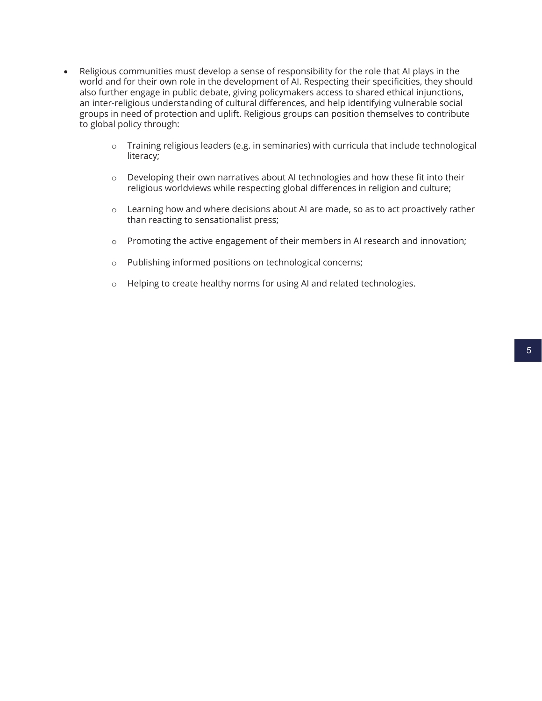- Religious communities must develop a sense of responsibility for the role that AI plays in the world and for their own role in the development of AI. Respecting their specificities, they should also further engage in public debate, giving policymakers access to shared ethical injunctions, an inter-religious understanding of cultural differences, and help identifying vulnerable social groups in need of protection and uplift. Religious groups can position themselves to contribute to global policy through:
	- o Training religious leaders (e.g. in seminaries) with curricula that include technological literacy;
	- $\circ$  Developing their own narratives about AI technologies and how these fit into their religious worldviews while respecting global differences in religion and culture;
	- o Learning how and where decisions about AI are made, so as to act proactively rather than reacting to sensationalist press;
	- o Promoting the active engagement of their members in AI research and innovation;
	- o Publishing informed positions on technological concerns;
	- o Helping to create healthy norms for using AI and related technologies.